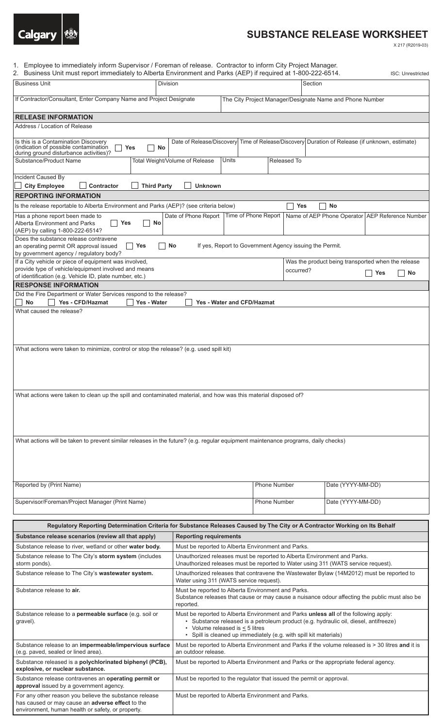

environment, human health or safety, or property.

## **SUBSTANCE RELEASE WORKSHEET**

X 217 (R2019-03)

| Employee to immediately inform Supervisor / Foreman of release. Contractor to inform City Project Manager.<br>1.                                                                                          |                                                                                                                                                                                                                                                                                           |                                                          |                                                                                                |
|-----------------------------------------------------------------------------------------------------------------------------------------------------------------------------------------------------------|-------------------------------------------------------------------------------------------------------------------------------------------------------------------------------------------------------------------------------------------------------------------------------------------|----------------------------------------------------------|------------------------------------------------------------------------------------------------|
| 2. Business Unit must report immediately to Alberta Environment and Parks (AEP) if required at 1-800-222-6514.                                                                                            |                                                                                                                                                                                                                                                                                           |                                                          | <b>ISC: Unrestricted</b>                                                                       |
| <b>Business Unit</b><br><b>Division</b>                                                                                                                                                                   |                                                                                                                                                                                                                                                                                           | Section                                                  |                                                                                                |
| If Contractor/Consultant, Enter Company Name and Project Designate                                                                                                                                        |                                                                                                                                                                                                                                                                                           | The City Project Manager/Designate Name and Phone Number |                                                                                                |
| <b>RELEASE INFORMATION</b>                                                                                                                                                                                |                                                                                                                                                                                                                                                                                           |                                                          |                                                                                                |
| Address / Location of Release                                                                                                                                                                             |                                                                                                                                                                                                                                                                                           |                                                          |                                                                                                |
|                                                                                                                                                                                                           |                                                                                                                                                                                                                                                                                           |                                                          |                                                                                                |
| Is this is a Contamination Discovery<br>(indication of possible contamination<br><b>Yes</b><br>No<br>during ground disturbance activities)?<br>Substance/Product Name                                     | Total Weight/Volume of Release<br>Units                                                                                                                                                                                                                                                   | Released To                                              | Date of Release/Discovery Time of Release/Discovery Duration of Release (if unknown, estimate) |
|                                                                                                                                                                                                           |                                                                                                                                                                                                                                                                                           |                                                          |                                                                                                |
| Incident Caused By                                                                                                                                                                                        |                                                                                                                                                                                                                                                                                           |                                                          |                                                                                                |
| <b>Third Party</b><br><b>City Employee</b><br>Contractor                                                                                                                                                  | <b>Unknown</b>                                                                                                                                                                                                                                                                            |                                                          |                                                                                                |
| <b>REPORTING INFORMATION</b>                                                                                                                                                                              |                                                                                                                                                                                                                                                                                           |                                                          |                                                                                                |
| Is the release reportable to Alberta Environment and Parks (AEP)? (see criteria below)                                                                                                                    |                                                                                                                                                                                                                                                                                           | <b>Yes</b>                                               | <b>No</b>                                                                                      |
| Has a phone report been made to<br><b>Yes</b><br><b>Alberta Environment and Parks</b><br>No<br>(AEP) by calling 1-800-222-6514?                                                                           | Date of Phone Report                                                                                                                                                                                                                                                                      | Time of Phone Report                                     | Name of AEP Phone Operator AEP Reference Number                                                |
| Does the substance release contravene<br>No<br><b>Yes</b><br>If yes, Report to Government Agency issuing the Permit.<br>an operating permit OR approval issued<br>by government agency / regulatory body? |                                                                                                                                                                                                                                                                                           |                                                          |                                                                                                |
| If a City vehicle or piece of equipment was involved,                                                                                                                                                     |                                                                                                                                                                                                                                                                                           |                                                          | Was the product being transported when the release                                             |
| provide type of vehicle/equipment involved and means<br>of identification (e.g. Vehicle ID, plate number, etc.)                                                                                           |                                                                                                                                                                                                                                                                                           | occurred?                                                | <b>Yes</b><br>No                                                                               |
| <b>RESPONSE INFORMATION</b>                                                                                                                                                                               |                                                                                                                                                                                                                                                                                           |                                                          |                                                                                                |
| Did the Fire Department or Water Services respond to the release?                                                                                                                                         |                                                                                                                                                                                                                                                                                           |                                                          |                                                                                                |
| <b>No</b><br>Yes - CFD/Hazmat<br>Yes - Water<br><b>Yes - Water and CFD/Hazmat</b>                                                                                                                         |                                                                                                                                                                                                                                                                                           |                                                          |                                                                                                |
| What caused the release?                                                                                                                                                                                  |                                                                                                                                                                                                                                                                                           |                                                          |                                                                                                |
| What actions were taken to clean up the spill and contaminated material, and how was this material disposed of?                                                                                           |                                                                                                                                                                                                                                                                                           |                                                          |                                                                                                |
| What actions will be taken to prevent similar releases in the future? (e.g. regular equipment maintenance programs, daily checks)                                                                         |                                                                                                                                                                                                                                                                                           |                                                          |                                                                                                |
|                                                                                                                                                                                                           |                                                                                                                                                                                                                                                                                           |                                                          |                                                                                                |
| Reported by (Print Name)                                                                                                                                                                                  |                                                                                                                                                                                                                                                                                           | <b>Phone Number</b>                                      | Date (YYYY-MM-DD)                                                                              |
|                                                                                                                                                                                                           |                                                                                                                                                                                                                                                                                           |                                                          |                                                                                                |
| Supervisor/Foreman/Project Manager (Print Name)                                                                                                                                                           |                                                                                                                                                                                                                                                                                           | <b>Phone Number</b>                                      | Date (YYYY-MM-DD)                                                                              |
| Regulatory Reporting Determination Criteria for Substance Releases Caused by The City or A Contractor Working on Its Behalf                                                                               |                                                                                                                                                                                                                                                                                           |                                                          |                                                                                                |
| Substance release scenarios (review all that apply)                                                                                                                                                       | <b>Reporting requirements</b>                                                                                                                                                                                                                                                             |                                                          |                                                                                                |
| Substance release to river, wetland or other water body.                                                                                                                                                  | Must be reported to Alberta Environment and Parks.                                                                                                                                                                                                                                        |                                                          |                                                                                                |
| Substance release to The City's storm system (includes<br>storm ponds).                                                                                                                                   | Unauthorized releases must be reported to Alberta Environment and Parks.<br>Unauthorized releases must be reported to Water using 311 (WATS service request).                                                                                                                             |                                                          |                                                                                                |
| Substance release to The City's wastewater system.                                                                                                                                                        | Unauthorized releases that contravene the Wastewater Bylaw (14M2012) must be reported to<br>Water using 311 (WATS service request).                                                                                                                                                       |                                                          |                                                                                                |
| Substance release to air.                                                                                                                                                                                 | Must be reported to Alberta Environment and Parks.                                                                                                                                                                                                                                        |                                                          |                                                                                                |
|                                                                                                                                                                                                           | Substance releases that cause or may cause a nuisance odour affecting the public must also be<br>reported.                                                                                                                                                                                |                                                          |                                                                                                |
| Substance release to a permeable surface (e.g. soil or<br>gravel).                                                                                                                                        | Must be reported to Alberta Environment and Parks unless all of the following apply:<br>· Substance released is a petroleum product (e.g. hydraulic oil, diesel, antifreeze)<br>• Volume released is $\leq$ 5 litres<br>• Spill is cleaned up immediately (e.g. with spill kit materials) |                                                          |                                                                                                |
| Substance release to an impermeable/impervious surface<br>(e.g. paved, sealed or lined area).                                                                                                             | Must be reported to Alberta Environment and Parks if the volume released is > 30 litres and it is<br>an outdoor release.                                                                                                                                                                  |                                                          |                                                                                                |
| Substance released is a polychlorinated biphenyl (PCB),<br>explosive, or nuclear substance.                                                                                                               | Must be reported to Alberta Environment and Parks or the appropriate federal agency.                                                                                                                                                                                                      |                                                          |                                                                                                |
| Substance release contravenes an operating permit or<br>approval issued by a government agency.                                                                                                           | Must be reported to the regulator that issued the permit or approval.                                                                                                                                                                                                                     |                                                          |                                                                                                |
| For any other reason you believe the substance release<br>has caused or may cause an adverse effect to the                                                                                                | Must be reported to Alberta Environment and Parks.                                                                                                                                                                                                                                        |                                                          |                                                                                                |